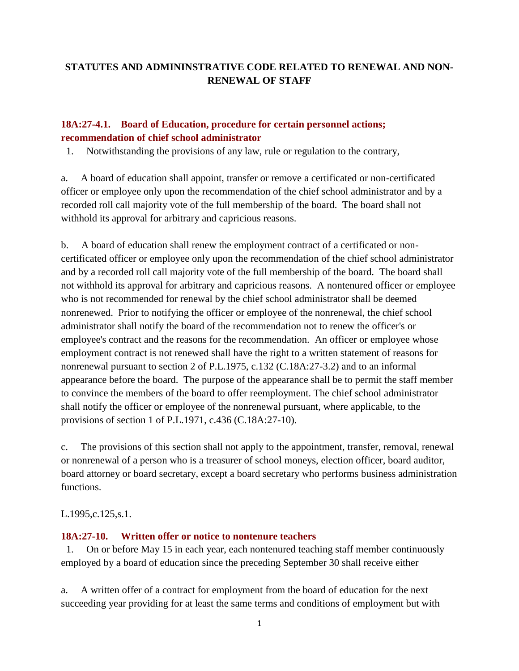# **STATUTES AND ADMININSTRATIVE CODE RELATED TO RENEWAL AND NON-RENEWAL OF STAFF**

## **18A:27-4.1. Board of Education, procedure for certain personnel actions; recommendation of chief school administrator**

1. Notwithstanding the provisions of any law, rule or regulation to the contrary,

a. A board of education shall appoint, transfer or remove a certificated or non-certificated officer or employee only upon the recommendation of the chief school administrator and by a recorded roll call majority vote of the full membership of the board. The board shall not withhold its approval for arbitrary and capricious reasons.

b. A board of education shall renew the employment contract of a certificated or noncertificated officer or employee only upon the recommendation of the chief school administrator and by a recorded roll call majority vote of the full membership of the board. The board shall not withhold its approval for arbitrary and capricious reasons. A nontenured officer or employee who is not recommended for renewal by the chief school administrator shall be deemed nonrenewed. Prior to notifying the officer or employee of the nonrenewal, the chief school administrator shall notify the board of the recommendation not to renew the officer's or employee's contract and the reasons for the recommendation. An officer or employee whose employment contract is not renewed shall have the right to a written statement of reasons for nonrenewal pursuant to section 2 of P.L.1975, c.132 (C.18A:27-3.2) and to an informal appearance before the board. The purpose of the appearance shall be to permit the staff member to convince the members of the board to offer reemployment. The chief school administrator shall notify the officer or employee of the nonrenewal pursuant, where applicable, to the provisions of section 1 of P.L.1971, c.436 (C.18A:27-10).

c. The provisions of this section shall not apply to the appointment, transfer, removal, renewal or nonrenewal of a person who is a treasurer of school moneys, election officer, board auditor, board attorney or board secretary, except a board secretary who performs business administration functions.

L.1995,c.125,s.1.

#### **18A:27-10. Written offer or notice to nontenure teachers**

1. On or before May 15 in each year, each nontenured teaching staff member continuously employed by a board of education since the preceding September 30 shall receive either

a. A written offer of a contract for employment from the board of education for the next succeeding year providing for at least the same terms and conditions of employment but with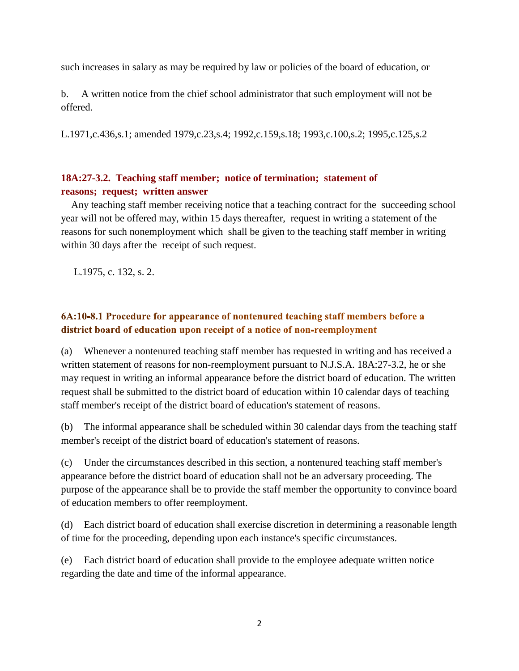such increases in salary as may be required by law or policies of the board of education, or

b. A written notice from the chief school administrator that such employment will not be offered.

L.1971,c.436,s.1; amended 1979,c.23,s.4; 1992,c.159,s.18; 1993,c.100,s.2; 1995,c.125,s.2

### **18A:27-3.2. Teaching staff member; notice of termination; statement of reasons; request; written answer**

 Any teaching staff member receiving notice that a teaching contract for the succeeding school year will not be offered may, within 15 days thereafter, request in writing a statement of the reasons for such nonemployment which shall be given to the teaching staff member in writing within 30 days after the receipt of such request.

L.1975, c. 132, s. 2.

# 6A:10-8.1 Procedure for appearance of nontenured teaching staff members before a district board of education upon receipt of a notice of non-reemployment

(a) Whenever a nontenured teaching staff member has requested in writing and has received a written statement of reasons for non-reemployment pursuant to N.J.S.A. 18A:27-3.2, he or she may request in writing an informal appearance before the district board of education. The written request shall be submitted to the district board of education within 10 calendar days of teaching staff member's receipt of the district board of education's statement of reasons.

(b) The informal appearance shall be scheduled within 30 calendar days from the teaching staff member's receipt of the district board of education's statement of reasons.

(c) Under the circumstances described in this section, a nontenured teaching staff member's appearance before the district board of education shall not be an adversary proceeding. The purpose of the appearance shall be to provide the staff member the opportunity to convince board of education members to offer reemployment.

(d) Each district board of education shall exercise discretion in determining a reasonable length of time for the proceeding, depending upon each instance's specific circumstances.

(e) Each district board of education shall provide to the employee adequate written notice regarding the date and time of the informal appearance.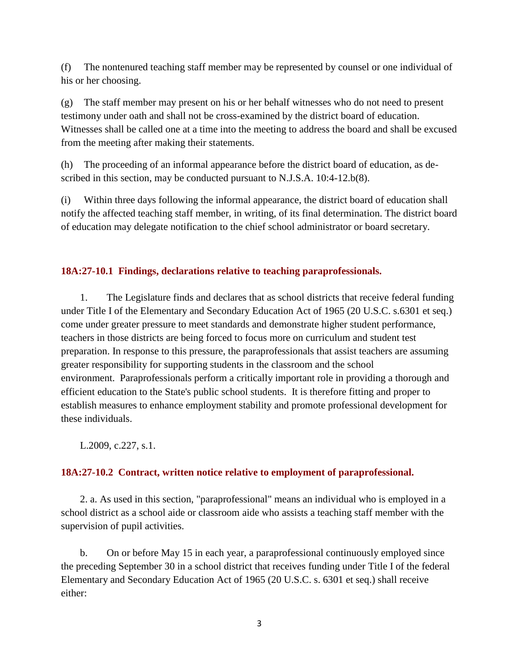(f) The nontenured teaching staff member may be represented by counsel or one individual of his or her choosing.

(g) The staff member may present on his or her behalf witnesses who do not need to present testimony under oath and shall not be cross-examined by the district board of education. Witnesses shall be called one at a time into the meeting to address the board and shall be excused from the meeting after making their statements.

(h) The proceeding of an informal appearance before the district board of education, as described in this section, may be conducted pursuant to N.J.S.A. 10:4-12.b(8).

(i) Within three days following the informal appearance, the district board of education shall notify the affected teaching staff member, in writing, of its final determination. The district board of education may delegate notification to the chief school administrator or board secretary.

### **18A:27-10.1 Findings, declarations relative to teaching paraprofessionals.**

1. The Legislature finds and declares that as school districts that receive federal funding under Title I of the Elementary and Secondary Education Act of 1965 (20 U.S.C. s.6301 et seq.) come under greater pressure to meet standards and demonstrate higher student performance, teachers in those districts are being forced to focus more on curriculum and student test preparation. In response to this pressure, the paraprofessionals that assist teachers are assuming greater responsibility for supporting students in the classroom and the school environment. Paraprofessionals perform a critically important role in providing a thorough and efficient education to the State's public school students. It is therefore fitting and proper to establish measures to enhance employment stability and promote professional development for these individuals.

L.2009, c.227, s.1.

# **18A:27-10.2 Contract, written notice relative to employment of paraprofessional.**

2. a. As used in this section, "paraprofessional" means an individual who is employed in a school district as a school aide or classroom aide who assists a teaching staff member with the supervision of pupil activities.

b. On or before May 15 in each year, a paraprofessional continuously employed since the preceding September 30 in a school district that receives funding under Title I of the federal Elementary and Secondary Education Act of 1965 (20 U.S.C. s. 6301 et seq.) shall receive either: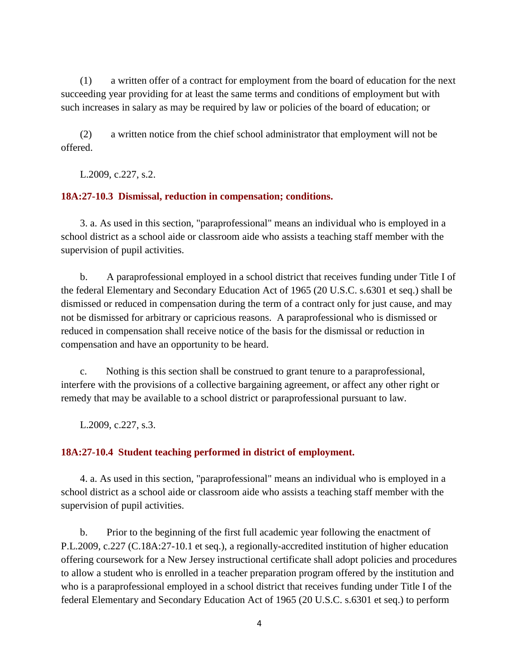(1) a written offer of a contract for employment from the board of education for the next succeeding year providing for at least the same terms and conditions of employment but with such increases in salary as may be required by law or policies of the board of education; or

(2) a written notice from the chief school administrator that employment will not be offered.

L.2009, c.227, s.2.

#### **18A:27-10.3 Dismissal, reduction in compensation; conditions.**

3. a. As used in this section, "paraprofessional" means an individual who is employed in a school district as a school aide or classroom aide who assists a teaching staff member with the supervision of pupil activities.

b. A paraprofessional employed in a school district that receives funding under Title I of the federal Elementary and Secondary Education Act of 1965 (20 U.S.C. s.6301 et seq.) shall be dismissed or reduced in compensation during the term of a contract only for just cause, and may not be dismissed for arbitrary or capricious reasons. A paraprofessional who is dismissed or reduced in compensation shall receive notice of the basis for the dismissal or reduction in compensation and have an opportunity to be heard.

c. Nothing is this section shall be construed to grant tenure to a paraprofessional, interfere with the provisions of a collective bargaining agreement, or affect any other right or remedy that may be available to a school district or paraprofessional pursuant to law.

L.2009, c.227, s.3.

#### **18A:27-10.4 Student teaching performed in district of employment.**

4. a. As used in this section, "paraprofessional" means an individual who is employed in a school district as a school aide or classroom aide who assists a teaching staff member with the supervision of pupil activities.

b. Prior to the beginning of the first full academic year following the enactment of P.L.2009, c.227 (C.18A:27-10.1 et seq.), a regionally-accredited institution of higher education offering coursework for a New Jersey instructional certificate shall adopt policies and procedures to allow a student who is enrolled in a teacher preparation program offered by the institution and who is a paraprofessional employed in a school district that receives funding under Title I of the federal Elementary and Secondary Education Act of 1965 (20 U.S.C. s.6301 et seq.) to perform